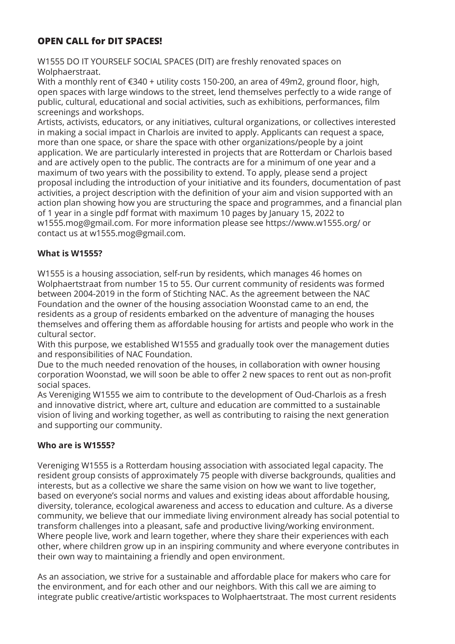# **OPEN CALL for DIT SPACES!**

W1555 DO IT YOURSELF SOCIAL SPACES (DIT) are freshly renovated spaces on Wolphaerstraat.

With a monthly rent of €340 + utility costs 150-200, an area of 49m2, ground floor, high, open spaces with large windows to the street, lend themselves perfectly to a wide range of public, cultural, educational and social activities, such as exhibitions, performances, film screenings and workshops.

Artists, activists, educators, or any initiatives, cultural organizations, or collectives interested in making a social impact in Charlois are invited to apply. Applicants can request a space, more than one space, or share the space with other organizations/people by a joint application. We are particularly interested in projects that are Rotterdam or Charlois based and are actively open to the public. The contracts are for a minimum of one year and a maximum of two years with the possibility to extend. To apply, please send a project proposal including the introduction of your initiative and its founders, documentation of past activities, a project description with the definition of your aim and vision supported with an action plan showing how you are structuring the space and programmes, and a financial plan of 1 year in a single pdf format with maximum 10 pages by January 15, 2022 to w1555.mog@gmail.com. For more information please see https://www.w1555.org/ or contact us at w1555.mog@gmail.com.

# **What is W1555?**

W1555 is a housing association, self-run by residents, which manages 46 homes on Wolphaertstraat from number 15 to 55. Our current community of residents was formed between 2004-2019 in the form of Stichting NAC. As the agreement between the NAC Foundation and the owner of the housing association Woonstad came to an end, the residents as a group of residents embarked on the adventure of managing the houses themselves and offering them as affordable housing for artists and people who work in the cultural sector.

With this purpose, we established W1555 and gradually took over the management duties and responsibilities of NAC Foundation.

Due to the much needed renovation of the houses, in collaboration with owner housing corporation Woonstad, we will soon be able to offer 2 new spaces to rent out as non-profit social spaces.

As Vereniging W1555 we aim to contribute to the development of Oud-Charlois as a fresh and innovative district, where art, culture and education are committed to a sustainable vision of living and working together, as well as contributing to raising the next generation and supporting our community.

### **Who are is W1555?**

Vereniging W1555 is a Rotterdam housing association with associated legal capacity. The resident group consists of approximately 75 people with diverse backgrounds, qualities and interests, but as a collective we share the same vision on how we want to live together, based on everyone's social norms and values and existing ideas about affordable housing, diversity, tolerance, ecological awareness and access to education and culture. As a diverse community, we believe that our immediate living environment already has social potential to transform challenges into a pleasant, safe and productive living/working environment. Where people live, work and learn together, where they share their experiences with each other, where children grow up in an inspiring community and where everyone contributes in their own way to maintaining a friendly and open environment.

As an association, we strive for a sustainable and affordable place for makers who care for the environment, and for each other and our neighbors. With this call we are aiming to integrate public creative/artistic workspaces to Wolphaertstraat. The most current residents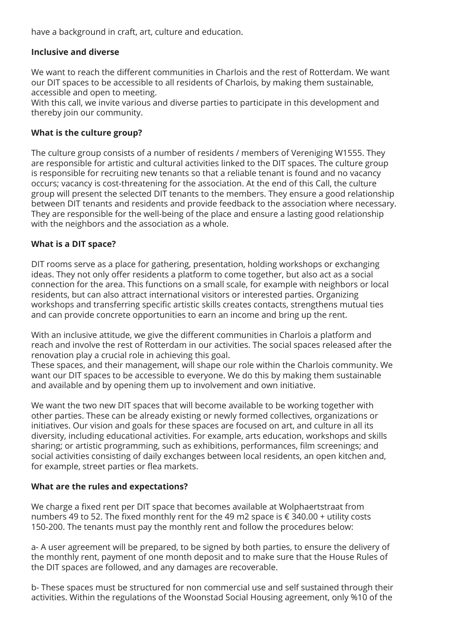have a background in craft, art, culture and education.

## **Inclusive and diverse**

We want to reach the different communities in Charlois and the rest of Rotterdam. We want our DIT spaces to be accessible to all residents of Charlois, by making them sustainable, accessible and open to meeting.

With this call, we invite various and diverse parties to participate in this development and thereby join our community.

### **What is the culture group?**

The culture group consists of a number of residents / members of Vereniging W1555. They are responsible for artistic and cultural activities linked to the DIT spaces. The culture group is responsible for recruiting new tenants so that a reliable tenant is found and no vacancy occurs; vacancy is cost-threatening for the association. At the end of this Call, the culture group will present the selected DIT tenants to the members. They ensure a good relationship between DIT tenants and residents and provide feedback to the association where necessary. They are responsible for the well-being of the place and ensure a lasting good relationship with the neighbors and the association as a whole.

### **What is a DIT space?**

DIT rooms serve as a place for gathering, presentation, holding workshops or exchanging ideas. They not only offer residents a platform to come together, but also act as a social connection for the area. This functions on a small scale, for example with neighbors or local residents, but can also attract international visitors or interested parties. Organizing workshops and transferring specific artistic skills creates contacts, strengthens mutual ties and can provide concrete opportunities to earn an income and bring up the rent.

With an inclusive attitude, we give the different communities in Charlois a platform and reach and involve the rest of Rotterdam in our activities. The social spaces released after the renovation play a crucial role in achieving this goal.

These spaces, and their management, will shape our role within the Charlois community. We want our DIT spaces to be accessible to everyone. We do this by making them sustainable and available and by opening them up to involvement and own initiative.

We want the two new DIT spaces that will become available to be working together with other parties. These can be already existing or newly formed collectives, organizations or initiatives. Our vision and goals for these spaces are focused on art, and culture in all its diversity, including educational activities. For example, arts education, workshops and skills sharing; or artistic programming, such as exhibitions, performances, film screenings; and social activities consisting of daily exchanges between local residents, an open kitchen and, for example, street parties or flea markets.

#### **What are the rules and expectations?**

We charge a fixed rent per DIT space that becomes available at Wolphaertstraat from numbers 49 to 52. The fixed monthly rent for the 49 m2 space is € 340.00 + utility costs 150-200. The tenants must pay the monthly rent and follow the procedures below:

a- A user agreement will be prepared, to be signed by both parties, to ensure the delivery of the monthly rent, payment of one month deposit and to make sure that the House Rules of the DIT spaces are followed, and any damages are recoverable.

b- These spaces must be structured for non commercial use and self sustained through their activities. Within the regulations of the Woonstad Social Housing agreement, only %10 of the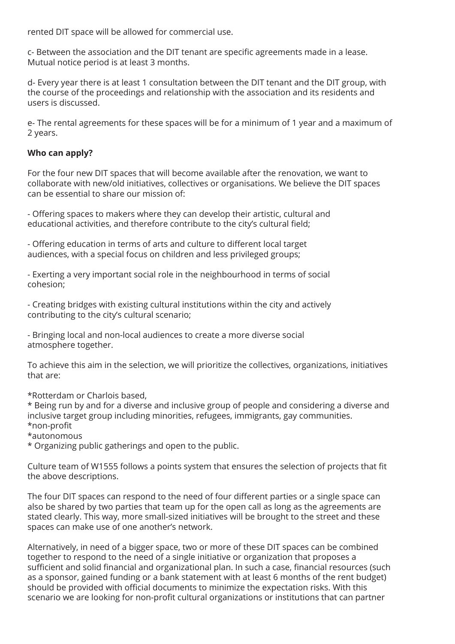rented DIT space will be allowed for commercial use.

c- Between the association and the DIT tenant are specific agreements made in a lease. Mutual notice period is at least 3 months.

d- Every year there is at least 1 consultation between the DIT tenant and the DIT group, with the course of the proceedings and relationship with the association and its residents and users is discussed.

e- The rental agreements for these spaces will be for a minimum of 1 year and a maximum of 2 years.

### **Who can apply?**

For the four new DIT spaces that will become available after the renovation, we want to collaborate with new/old initiatives, collectives or organisations. We believe the DIT spaces can be essential to share our mission of:

- Offering spaces to makers where they can develop their artistic, cultural and educational activities, and therefore contribute to the city's cultural field;

- Offering education in terms of arts and culture to different local target audiences, with a special focus on children and less privileged groups;

- Exerting a very important social role in the neighbourhood in terms of social cohesion;

- Creating bridges with existing cultural institutions within the city and actively contributing to the city's cultural scenario;

- Bringing local and non-local audiences to create a more diverse social atmosphere together.

To achieve this aim in the selection, we will prioritize the collectives, organizations, initiatives that are:

\*Rotterdam or Charlois based,

\* Being run by and for a diverse and inclusive group of people and considering a diverse and inclusive target group including minorities, refugees, immigrants, gay communities. \*non-profit

\*autonomous

\* Organizing public gatherings and open to the public.

Culture team of W1555 follows a points system that ensures the selection of projects that fit the above descriptions.

The four DIT spaces can respond to the need of four different parties or a single space can also be shared by two parties that team up for the open call as long as the agreements are stated clearly. This way, more small-sized initiatives will be brought to the street and these spaces can make use of one another's network.

Alternatively, in need of a bigger space, two or more of these DIT spaces can be combined together to respond to the need of a single initiative or organization that proposes a sufficient and solid financial and organizational plan. In such a case, financial resources (such as a sponsor, gained funding or a bank statement with at least 6 months of the rent budget) should be provided with official documents to minimize the expectation risks. With this scenario we are looking for non-profit cultural organizations or institutions that can partner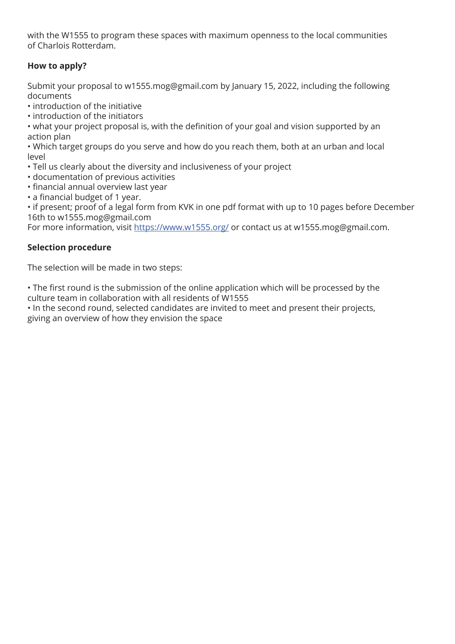with the W1555 to program these spaces with maximum openness to the local communities of Charlois Rotterdam.

# **How to apply?**

Submit your proposal to w1555.mog@gmail.com by January 15, 2022, including the following documents

- introduction of the initiative
- introduction of the initiators

• what your project proposal is, with the definition of your goal and vision supported by an action plan

• Which target groups do you serve and how do you reach them, both at an urban and local level

- Tell us clearly about the diversity and inclusiveness of your project
- documentation of previous activities
- financial annual overview last year
- a financial budget of 1 year.

• if present; proof of a legal form from KVK in one pdf format with up to 10 pages before December 16th to w1555.mog@gmail.com

For more information, visit https://www.w1555.org/ or contact us at w1555.mog@gmail.com.

## **Selection procedure**

The selection will be made in two steps:

• The first round is the submission of the online application which will be processed by the culture team in collaboration with all residents of W1555

• In the second round, selected candidates are invited to meet and present their projects, giving an overview of how they envision the space